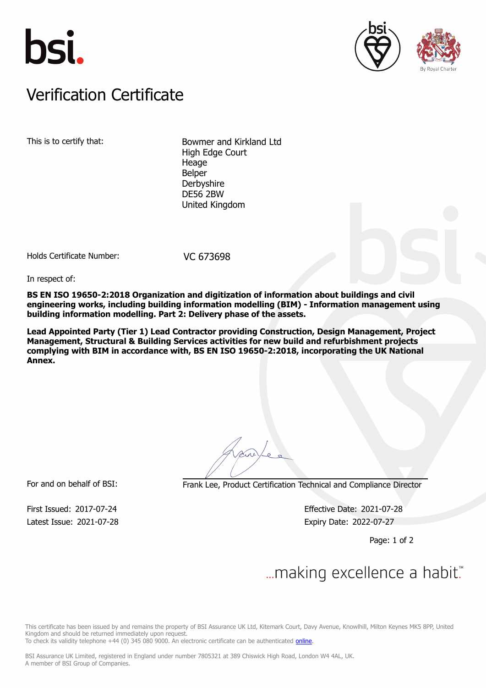





## Verification Certificate Verification Certificate

This is to certify that: Bowmer and Kirkland Ltd High Edge Court Heage Belper **Derbyshire** DE56 2BW United Kingdom

Holds Certificate Number: VC 673698

In respect of:

**BS EN ISO 19650-2:2018 Organization and digitization of information about buildings and civil engineering works, including building information modelling (BIM) - Information management using building information modelling. Part 2: Delivery phase of the assets.**

**Lead Appointed Party (Tier 1) Lead Contractor providing Construction, Design Management, Project Management, Structural & Building Services activities for new build and refurbishment projects complying with BIM in accordance with, BS EN ISO 19650-2:2018, incorporating the UK National Annex.**

For and on behalf of BSI: Frank Lee, Product Certification Technical and Compliance Director

Latest Issue: 2021-07-28 Expiry Date: 2022-07-27

First Issued: 2017-07-24 Effective Date: 2021-07-28

Page: 1 of 2

## $\mathcal{L}$

This certificate has been issued by and remains the property of BSI Assurance UK Ltd, Kitemark Court, Davy Avenue, Knowlhill, Milton Keynes MK5 8PP, United Kingdom and should be returned immediately upon request.

To check its validity telephone +44 (0) 345 080 9000. An electronic certificate can be authenticated *[online](https://pgplus.bsigroup.com/CertificateValidation/CertificateValidator.aspx?CertificateNumber=VC+673698&ReIssueDate=28%2f07%2f2021&Template=uk)*.

BSI Assurance UK Limited, registered in England under number 7805321 at 389 Chiswick High Road, London W4 4AL, UK. A member of BSI Group of Companies.